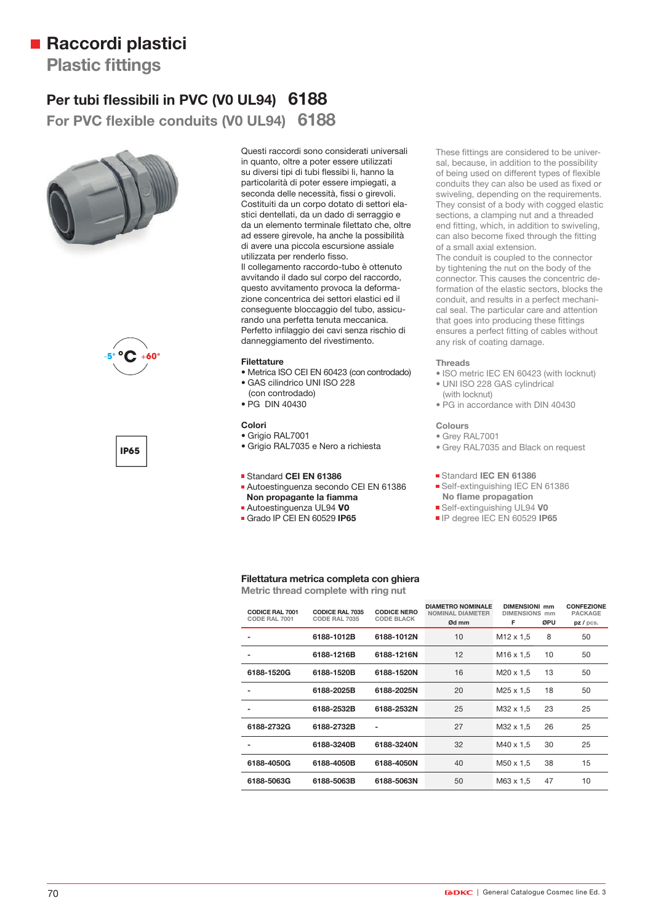## ■ Raccordi plastici

**Plastic fittings** 

## Per tubi flessibili in PVC (V0 UL94) 6188

For PVC flexible conduits (V0 UL94) 6188







Questi raccordi sono considerati universali in quanto, oltre a poter essere utilizzati su diversi tipi di tubi flessibi li, hanno la particolarità di poter essere impiegati, a seconda delle necessità, fissi o girevoli. Costituiti da un corpo dotato di settori elastici dentellati, da un dado di serraggio e da un elemento terminale filettato che, oltre ad essere girevole, ha anche la possibilità di avere una piccola escursione assiale utilizzata per renderlo fisso. Il collegamento raccordo-tubo è ottenuto avvitando il dado sul corpo del raccordo, questo avvitamento provoca la deformazione concentrica dei settori elastici ed il conseguente bloccaggio del tubo, assicurando una perfetta tenuta meccanica. Perfetto infilaggio dei cavi senza rischio di danneggiamento del rivestimento.

#### **Filettature**

- Metrica ISO CEI EN 60423 (con controdado) • GAS cilindrico UNI ISO 228
- (con controdado)
- PG DIN 40430

#### **Colori**

• Grigio RAL7001

• Grigio RAL7035 e Nero a richiesta

#### Standard **CEI EN 61386**

- Autoestinguenza secondo CEI EN 61386 **Non propagante la fiamma**
- Autoestinguenza UL94 **V0**
- Grado IP CEI EN 60529 **IP65**

These fittings are considered to be universal, because, in addition to the possibility of being used on different types of flexible conduits they can also be used as fixed or swiveling, depending on the requirements. They consist of a body with cogged elastic sections, a clamping nut and a threaded end fitting, which, in addition to swiveling. can also become fixed through the fitting of a small axial extension.

The conduit is coupled to the connector by tightening the nut on the body of the connector. This causes the concentric deformation of the elastic sectors, blocks the conduit, and results in a perfect mechanical seal. The particular care and attention that goes into producing these fittings ensures a perfect fitting of cables without any risk of coating damage.

#### **Threads**

- ISO metric IEC EN 60423 (with locknut) • UNI ISO 228 GAS cylindrical
- (with locknut)
- PG in accordance with DIN 40430

#### **Colours**

- Grey RAL7001
- Grey RAL7035 and Black on request

#### Standard **IEC EN 61386**

- Self-extinguishing IEC EN 61386 **No flame propagation**
- Self-extinguishing UL94 **V0**
- IP degree IEC EN 60529 **IP65**

### **Filettatura metrica completa con ghiera**

**Metric thread complete with ring nut**

| <b>CODICE RAL 7001</b><br>CODE RAL 7001 | <b>CODICE RAL 7035</b><br>CODE RAL 7035 | <b>CODICE NERO</b><br><b>CODE BLACK</b> | <b>DIAMETRO NOMINALE</b><br><b>NOMINAL DIAMETER</b><br>Ød mm | <b>DIMENSIONI mm</b><br><b>DIMENSIONS mm</b><br>F | ØPU | <b>CONFEZIONE</b><br><b>PACKAGE</b><br>pz/pcs. |
|-----------------------------------------|-----------------------------------------|-----------------------------------------|--------------------------------------------------------------|---------------------------------------------------|-----|------------------------------------------------|
|                                         | 6188-1012B                              | 6188-1012N                              | 10                                                           | M <sub>12</sub> x 1,5                             | 8   | 50                                             |
|                                         | 6188-1216B                              | 6188-1216N                              | 12                                                           | M <sub>16</sub> x 1,5                             | 10  | 50                                             |
| 6188-1520G                              | 6188-1520B                              | 6188-1520N                              | 16                                                           | $M20 \times 1.5$                                  | 13  | 50                                             |
|                                         | 6188-2025B                              | 6188-2025N                              | 20                                                           | M <sub>25</sub> x 1,5                             | 18  | 50                                             |
|                                         | 6188-2532B                              | 6188-2532N                              | 25                                                           | M32 x 1.5                                         | 23  | 25                                             |
| 6188-2732G                              | 6188-2732B                              |                                         | 27                                                           | M32 x 1.5                                         | 26  | 25                                             |
|                                         | 6188-3240B                              | 6188-3240N                              | 32                                                           | M40 x 1,5                                         | 30  | 25                                             |
| 6188-4050G                              | 6188-4050B                              | 6188-4050N                              | 40                                                           | M50 x 1.5                                         | 38  | 15                                             |
| 6188-5063G                              | 6188-5063B                              | 6188-5063N                              | 50                                                           | M63 x 1.5                                         | 47  | 10                                             |
|                                         |                                         |                                         |                                                              |                                                   |     |                                                |